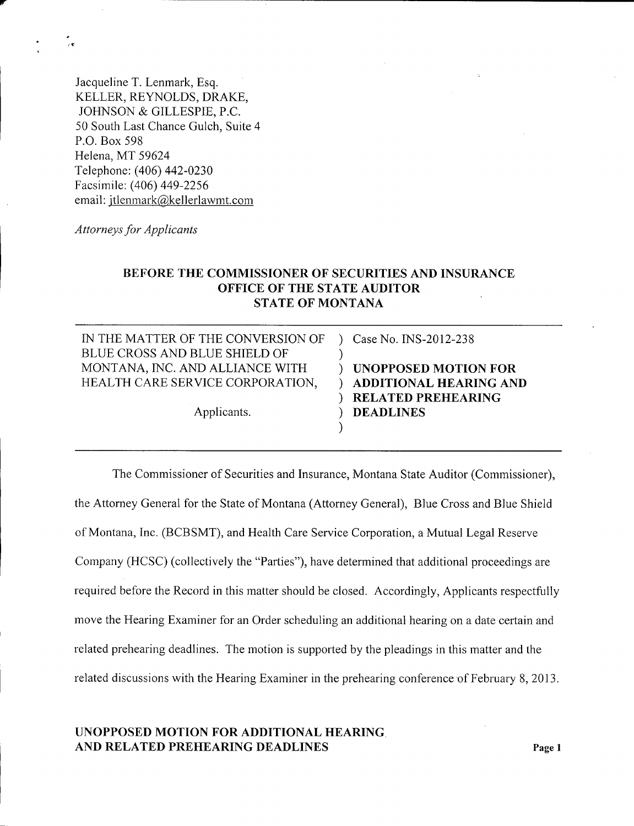Jacqueline T. Lenmark, Esq. KELLER, REYNOLDS, DRAKE, JOHNSON & GILLESPIE, P.C. 50 South Last Chance Gulch, Suite 4 P.O. Box 598 Helena, MT 59624 Telephone: (406) 442-0230 Facsimile: (406) 449-2256 email: [jtlenmark@kellerlawmt.com](mailto:jtlenmark@kellerlawmt.com)

*Attorneys for Applicants*

# **BEFORE THE COMMISSIONER OF SECURITIES AND INSURANCE OFFICE OF THE STATE AUDITOR STATE OF MONTANA**

| IN THE MATTER OF THE CONVERSION OF<br>BLUE CROSS AND BLUE SHIELD OF | Case No. INS-2012-238                                        |
|---------------------------------------------------------------------|--------------------------------------------------------------|
| MONTANA, INC. AND ALLIANCE WITH<br>HEALTH CARE SERVICE CORPORATION, | <b>UNOPPOSED MOTION FOR</b><br><b>ADDITIONAL HEARING AND</b> |
| Applicants.                                                         | <b>RELATED PREHEARING</b><br><b>DEADLINES</b>                |

The Commissioner of Securities and Insurance, Montana State Auditor (Commissioner), the Attorney General for the State of Montana (Attorney General), Blue Cross and Blue Shield of Montana, Inc. (BCBSMT), and Health Care Service Corporation, a Mutual Legal Reserve Company (HCSC) (collectively the "Parties"), have determined that additional proceedings are required before the Record in this matter should be closed. Accordingly, Applicants respectfully move the Hearing Examiner for an Order scheduling an additional hearing on a date certain and related prehearing deadlines. The motion is supported by the pleadings in this matter and the related discussions with the Hearing Examiner in the prehearing conference of February 8, 2013.

## **UNOPPOSED MOTION FOR ADDITIONAL HEARING AND RELATED PREHEARING DEADLINES** Page 1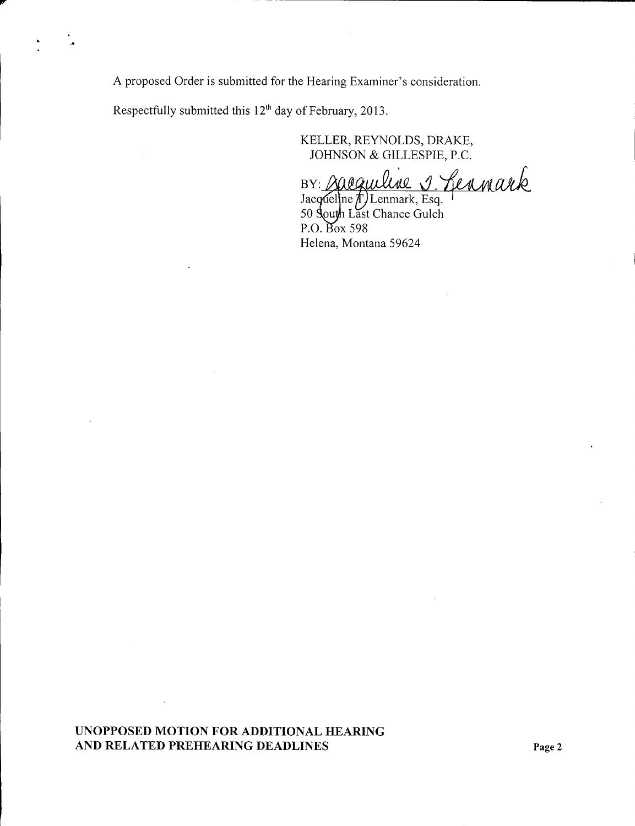A proposed Order is submitted for the Hearing Examiner's consideration.

Respectfully submitted this  $12<sup>th</sup>$  day of February, 2013.

KELLER, REYNOLDS, DRAKE, JOHNSON & GILLESPIE, P.C.

BY: saequiline 1. Leanark

Jacqueline T. Lenmark, Esq. 50 South Last Chance Gulch  $P.O.$  Box 598 Helena, Montana 59624

**UNOPPOSED MOTION FOR ADDITIONAL HEARING AND RELATED PREHEARING DEADLINES Page 2**